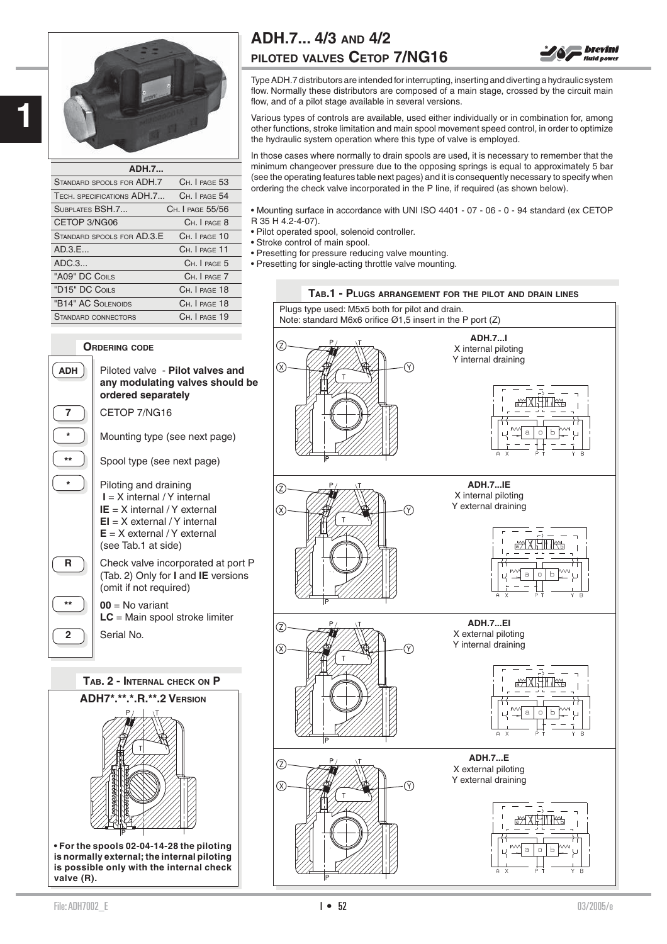

**1**

| <b>ADH.7</b>               |                               |
|----------------------------|-------------------------------|
| STANDARD SPOOLS FOR ADH.7  | CH. I PAGE 53                 |
| TECH. SPECIFICATIONS ADH.7 | CH. I PAGE 54                 |
| SUBPLATES BSH.7            | C <sub>H</sub> .   PAGE 55/56 |
| CETOP 3/NG06               | CH. I PAGE 8                  |
| STANDARD SPOOLS FOR AD.3.E | CH. I PAGE 10                 |
| AD.3.E                     | CH. I PAGE 11                 |
| ADC.3                      | CH. I PAGE 5                  |
| "A09" DC COILS             | CH. I PAGE 7                  |
| "D15" DC COILS             | Ch. I PAGE 18                 |
| "B14" AC SOLENOIDS         | CH. I PAGE 18                 |
| <b>STANDARD CONNECTORS</b> | CH. I PAGE 19                 |

# **ORDERING CODE**



**2 1** Serial No.

**TAB. 2 - INTERNAL CHECK ON P**



# **ADH.7... 4/3 AND 4/2 PILOTED VALVES CETOP 7/NG16**



Type ADH.7 distributors are intended for interrupting, inserting and diverting a hydraulic system flow. Normally these distributors are composed of a main stage, crossed by the circuit main flow, and of a pilot stage available in several versions.

Various types of controls are available, used either individually or in combination for, among other functions, stroke limitation and main spool movement speed control, in order to optimize the hydraulic system operation where this type of valve is employed.

In those cases where normally to drain spools are used, it is necessary to remember that the minimum changeover pressure due to the opposing springs is equal to approximately 5 bar (see the operating features table next pages) and it is consequently necessary to specify when ordering the check valve incorporated in the P line, if required (as shown below).

• Mounting surface in accordance with UNI ISO 4401 - 07 - 06 - 0 - 94 standard (ex CETOP R 35 H 4.2-4-07).

- Pilot operated spool, solenoid controller.
- Stroke control of main spool.
- Presetting for pressure reducing valve mounting.

• Presetting for single-acting throttle valve mounting.



 $\blacksquare$  File: ADH7002\_E 03/2005/e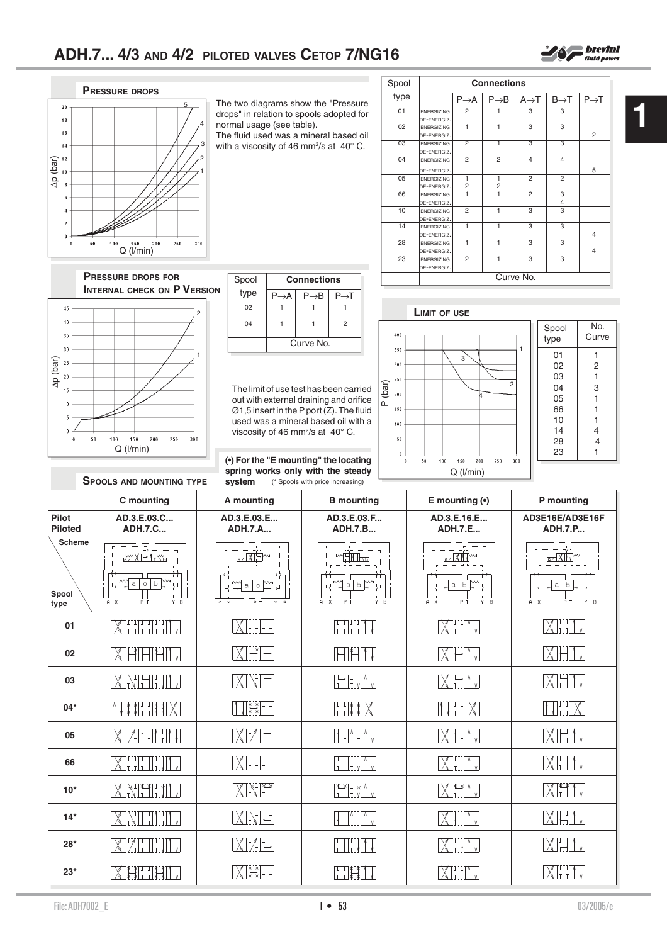

**1**



The two diagrams show the "Pressure drops" in relation to spools adopted for normal usage (see table).

The fluid used was a mineral based oil with a viscosity of 46 mm<sup>2</sup>/s at 40 $^{\circ}$  C.

| Spool | <b>Connections</b>               |                     |                     |                   |                     |                  |
|-------|----------------------------------|---------------------|---------------------|-------------------|---------------------|------------------|
| type  |                                  | $P \rightarrow A$   | $P \rightarrow B$   | $A \rightarrow T$ | $B\rightarrow T$    | $P\rightarrow T$ |
| 01    | <b>ENERGIZING</b><br>DE-ENERGIZ. | $\overline{2}$      |                     | 3                 | 3                   |                  |
| 02    | <b>ENERGIZING</b><br>DE-ENERGIZ. |                     |                     | З                 | З                   | $\overline{2}$   |
| 03    | <b>ENERGIZING</b><br>DE-ENERGIZ. | $\overline{2}$      | 1                   | 3                 | 3                   |                  |
| 04    | <b>ENERGIZING</b><br>DE-ENERGIZ. | 2                   | 2                   | 4                 | 4                   | 5                |
| 05    | <b>ENERGIZING</b><br>DE-ENERGIZ. | ī<br>$\overline{c}$ | 1<br>$\overline{c}$ | $\overline{2}$    | $\overline{2}$      |                  |
| 66    | <b>ENERGIZING</b><br>DE-ENERGIZ. | ī                   | ī                   | $\overline{2}$    | 3<br>$\overline{4}$ |                  |
| 10    | <b>ENERGIZING</b><br>DE-ENERGIZ. | $\overline{2}$      | $\mathbf{1}$        | 3                 | 3                   |                  |
| 14    | <b>ENERGIZING</b><br>DE-ENERGIZ. | 1                   | 1                   | 3                 | 3                   | $\overline{4}$   |
| 28    | <b>ENERGIZING</b><br>DE-ENERGIZ. | 1                   | 1                   | 3                 | 3                   | $\overline{4}$   |
| 23    | <b>ENERGIZING</b><br>DE-ENERGIZ. | $\overline{2}$      | ī                   | 3                 | 3                   |                  |
|       | Curve No.                        |                     |                     |                   |                     |                  |

**PRESSURE DROPS FOR INTERNAL CHECK ON P VERSION**



**SPOOLS AND MOUNTING TYPE**

| Spool | <b>Connections</b> |                  |                  |  |
|-------|--------------------|------------------|------------------|--|
| type  | $P\rightarrow A$   | $P\rightarrow B$ | $P\rightarrow T$ |  |
| 02    |                    |                  |                  |  |
| 04    |                    |                  |                  |  |
|       | Curve No.          |                  |                  |  |

The limit of use test has been carried out with external draining and orifice  $\varnothing$ 1,5 insert in the P port  $(Z)$ . The fluid used was a mineral based oil with a viscosity of 46 mm<sup>2</sup>/s at 40° C.

**(•) For the "E mounting" the locating spring works only with the steady system** (\* Spools with price increasing)

## **LIMIT OF USE**



| Spool<br>type | No.<br>Curve |
|---------------|--------------|
| 01            | 1            |
| 02            | 2            |
| 03            | 1            |
| 04            | 3            |
| 05            | 1            |
| 66            | 1            |
| 10            | 1            |
| 14            | 4            |
| 28            | 4            |
| 23            | 1            |
|               |              |

|                                | C mounting                                                                                                | A mounting                           | <b>B</b> mounting                                                                                 | E mounting $(•)$                                   | P mounting                                                                       |
|--------------------------------|-----------------------------------------------------------------------------------------------------------|--------------------------------------|---------------------------------------------------------------------------------------------------|----------------------------------------------------|----------------------------------------------------------------------------------|
| <b>Pilot</b><br><b>Piloted</b> | AD.3.E.03.C<br><b>ADH.7.C</b>                                                                             | AD.3.E.03.E<br><b>ADH.7.A</b>        | AD.3.E.03.F<br><b>ADH.7.B</b>                                                                     | AD.3.E.16.E<br><b>ADH.7.E</b>                      | AD3E16E/AD3E16F<br><b>ADH.7.P</b>                                                |
| <b>Scheme</b><br>Spool<br>type | $\bar{\rightarrow}$ $-$<br>$a \mid o$<br>Ь.<br>$\overline{A}$ $x$<br>Y B                                  | $\mathsf a$<br>$\circ$<br>Ψ<br>$V$ D | 0 b<br>$\theta$<br>$\overline{B}$<br>$\mathsf{x}$<br>Y.                                           | IЬ<br>a<br>$\overline{B}$<br>$A \times$<br>P.<br>Y | $\overline{\text{H} \text{X}}$<br>$\mathbf a$<br>Ь<br>$Y - B$<br>$A \times$<br>P |
| 01                             | WEITHEL                                                                                                   | XIIII I                              | $\prod_{\text{I}} \prod_{\text{I}} \prod_{\text{I}}$                                              | XIIII V                                            | $\chi_{\text{I-1}}$                                                              |
| 02                             | $H$ $H$ $H$<br>$ \chi $                                                                                   | XEH                                  | M                                                                                                 | IXIHI JI                                           | $\times$<br>Н                                                                    |
| 03                             | XNHTIM                                                                                                    | XM                                   | Fiftin                                                                                            | MHIT                                               | XHII                                                                             |
| $04*$                          | THEIX                                                                                                     | NXH                                  | HHX                                                                                               | NHX                                                | NHX                                                                              |
| 05                             | XIZEINIU                                                                                                  | MZE.                                 | HI TN                                                                                             | MHIT                                               | MEM                                                                              |
| 66                             | $\chi$ i ili ili                                                                                          | $\chi_{\text{LJ}}$ l                 | $\begin{array}{c} \begin{array}{c} \begin{array}{c} \text{T} \\ \text{T} \end{array} \end{array}$ | XHIT                                               | XITM                                                                             |
| $10*$                          | XXFITT                                                                                                    | MNF                                  | N THE                                                                                             | KFII J                                             | Mill                                                                             |
| $14*$                          | XMTIH                                                                                                     | XNE                                  | HI T                                                                                              | IXIHI J                                            | XIEII                                                                            |
| $28*$                          | $X$ $\left[\begin{array}{c} T \\ T \end{array}\right]$ $\left[\begin{array}{c} T \\ T \end{array}\right]$ | XI ZE                                | FITT                                                                                              | VHIL                                               | XH                                                                               |
| $23*$                          | XHLIHI                                                                                                    | XETI                                 | <b>TIXXI</b>                                                                                      | MHI J                                              | XIII                                                                             |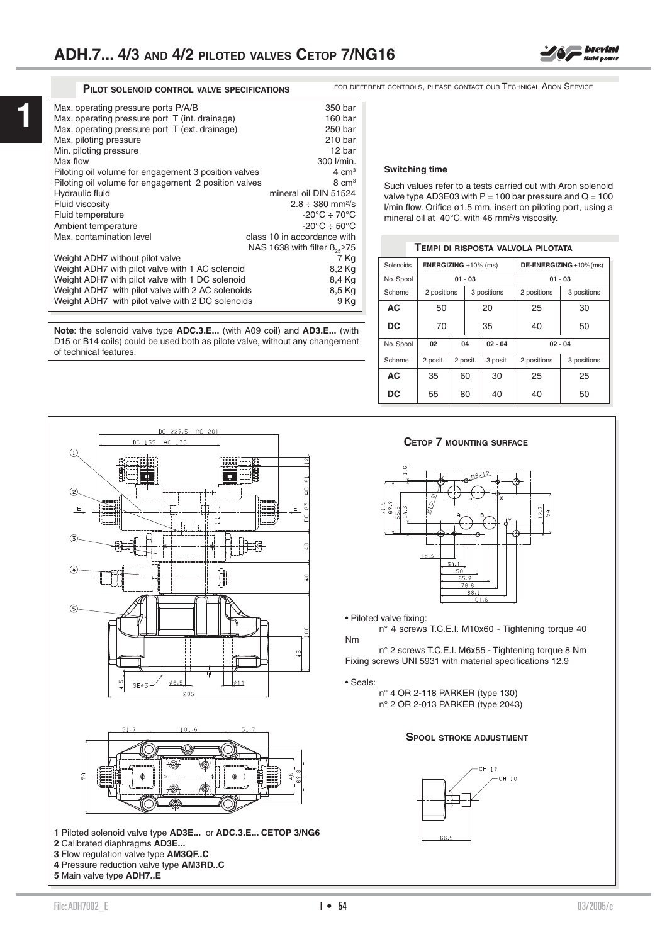

**1**

| Max. operating pressure ports P/A/B                  | 350 bar                                  |
|------------------------------------------------------|------------------------------------------|
| Max. operating pressure port T (int. drainage)       | 160 bar                                  |
| Max. operating pressure port T (ext. drainage)       | 250 bar                                  |
| Max. piloting pressure                               | 210 bar                                  |
| Min. piloting pressure                               | 12 bar                                   |
| Max flow                                             | 300 l/min.                               |
| Piloting oil volume for engagement 3 position valves | $4 \text{ cm}^3$                         |
| Piloting oil volume for engagement 2 position valves | $8 \text{ cm}^3$                         |
| Hydraulic fluid                                      | mineral oil DIN 51524                    |
| Fluid viscosity                                      | $2.8 \div 380$ mm <sup>2</sup> /s        |
| Fluid temperature                                    | $-20^{\circ}$ C $\div$ 70 $^{\circ}$ C   |
| Ambient temperature                                  | $-20^{\circ}$ C $\div$ 50 $^{\circ}$ C   |
| Max. contamination level                             | class 10 in accordance with              |
|                                                      | NAS 1638 with filter $\beta_{25} \ge 75$ |
| Weight ADH7 without pilot valve                      | 7 Kg                                     |
| Weight ADH7 with pilot valve with 1 AC solenoid      | 8,2 Kg                                   |
| Weight ADH7 with pilot valve with 1 DC solenoid      | 8,4 Kg                                   |
| Weight ADH7 with pilot valve with 2 AC solenoids     | 8,5 Kg                                   |
| Weight ADH7 with pilot valve with 2 DC solenoids     | 9 Kg                                     |
|                                                      |                                          |

**Note**: the solenoid valve type **ADC.3.E...** (with A09 coil) and **AD3.E...** (with D15 or B14 coils) could be used both as pilote valve, without any changement of technical features.

**PILOT SOLENOID CONTROL VALVE SPECIFICATIONS** FOR DIFFERENT CONTROLS, PLEASE CONTACT OUR TECHNICAL ARON SERVICE

#### **Switching time**

Such values refer to a tests carried out with Aron solenoid valve type AD3E03 with  $P = 100$  bar pressure and  $Q = 100$  $l/min$  flow. Orifice ø1.5 mm, insert on piloting port, using a mineral oil at 40°C. with 46 mm<sup>2</sup>/s viscosity.

#### **TEMPI DI RISPOSTA VALVOLA PILOTATA**

| Solenoids | <b>ENERGIZING</b> $\pm 10\%$ (ms) |    |                 |          |             | DE-ENERGIZING $\pm$ 10% (ms) |
|-----------|-----------------------------------|----|-----------------|----------|-------------|------------------------------|
| No. Spool | $01 - 03$                         |    |                 |          | $01 - 03$   |                              |
| Scheme    | 2 positions                       |    | 3 positions     |          | 2 positions | 3 positions                  |
| AC        | 50                                | 20 |                 |          | 25          | 30                           |
| DC        | 70                                |    | 35              |          | 40          | 50                           |
| No. Spool | 02                                |    | 04<br>$02 - 04$ |          | $02 - 04$   |                              |
| Scheme    | 2 posit.                          |    | 2 posit.        | 3 posit. | 2 positions | 3 positions                  |
| <b>AC</b> | 35                                |    | 60              | 30       | 25          | 25                           |
| DC        | 55                                |    | 80              | 40       | 40          | 50                           |



**1** Piloted solenoid valve type **AD3E...** or **ADC.3.E... CETOP 3/NG6 2** Calibrated diaphragms **AD3E...** 

**3** Flow regulation valve type **AM3QF..C**

**4** Pressure reduction valve type **AM3RD..C**

**5** Main valve type **ADH7..E**

#### **CETOP 7 MOUNTING SURFACE**



• Piloted valve fixing:

 n° 4 screws T.C.E.I. M10x60 - Tightening torque 40 Nm

 n° 2 screws T.C.E.I. M6x55 - Tightening torque 8 Nm Fixing screws UNI 5931 with material specifications 12.9

• Seals:

 n° 4 OR 2-118 PARKER (type 130) n° 2 OR 2-013 PARKER (type 2043)

### **SPOOL STROKE ADJUSTMENT**

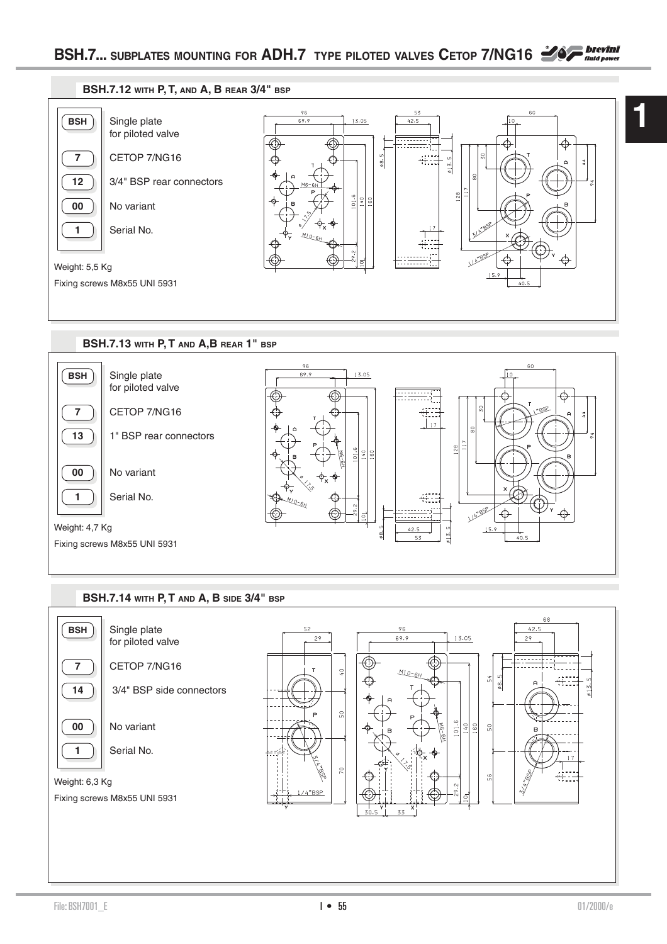



# **BSH.7.14 WITH P, T AND A, B SIDE 3/4" BSP**